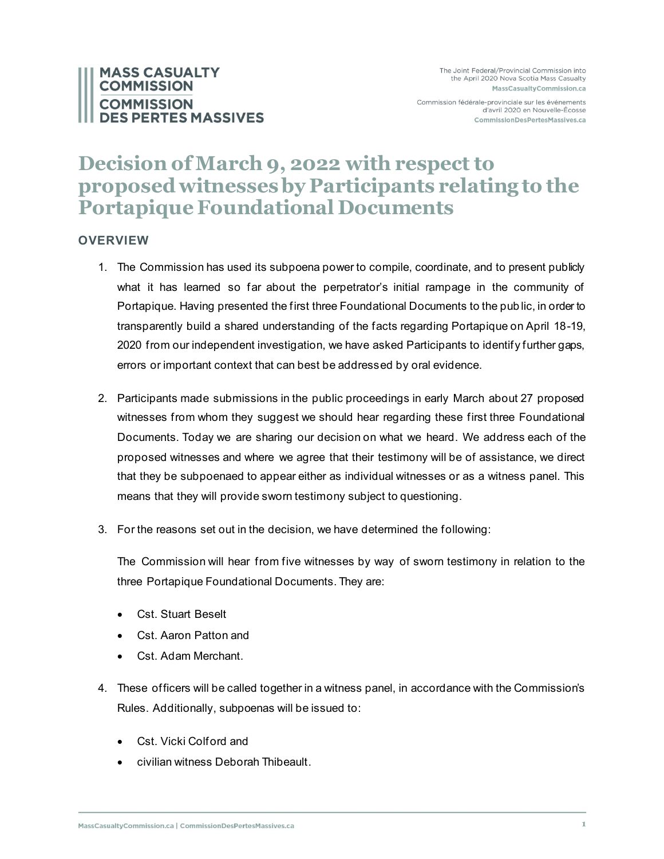# **MASS CASUALTY COMMISSION COMMISSION S PERTES MASSIVES**

Commission fédérale-provinciale sur les événements d'avril 2020 en Nouvelle-Écosse CommissionDesPertesMassives.ca

# **Decision of March 9, 2022 with respect to proposed witnesses by Participants relating to the Portapique Foundational Documents**

# **OVERVIEW**

- 1. The Commission has used its subpoena power to compile, coordinate, and to present publicly what it has learned so far about the perpetrator's initial rampage in the community of Portapique. Having presented the first three Foundational Documents to the pub lic, in order to transparently build a shared understanding of the facts regarding Portapique on April 18-19, 2020 from our independent investigation, we have asked Participants to identify further gaps, errors or important context that can best be addressed by oral evidence.
- 2. Participants made submissions in the public proceedings in early March about 27 proposed witnesses from whom they suggest we should hear regarding these first three Foundational Documents. Today we are sharing our decision on what we heard. We address each of the proposed witnesses and where we agree that their testimony will be of assistance, we direct that they be subpoenaed to appear either as individual witnesses or as a witness panel. This means that they will provide sworn testimony subject to questioning.
- 3. For the reasons set out in the decision, we have determined the following:

The Commission will hear from five witnesses by way of sworn testimony in relation to the three Portapique Foundational Documents. They are:

- Cst. Stuart Beselt
- Cst. Aaron Patton and
- Cst. Adam Merchant.
- 4. These officers will be called together in a witness panel, in accordance with the Commission's Rules. Additionally, subpoenas will be issued to:
	- Cst. Vicki Colford and
	- civilian witness Deborah Thibeault.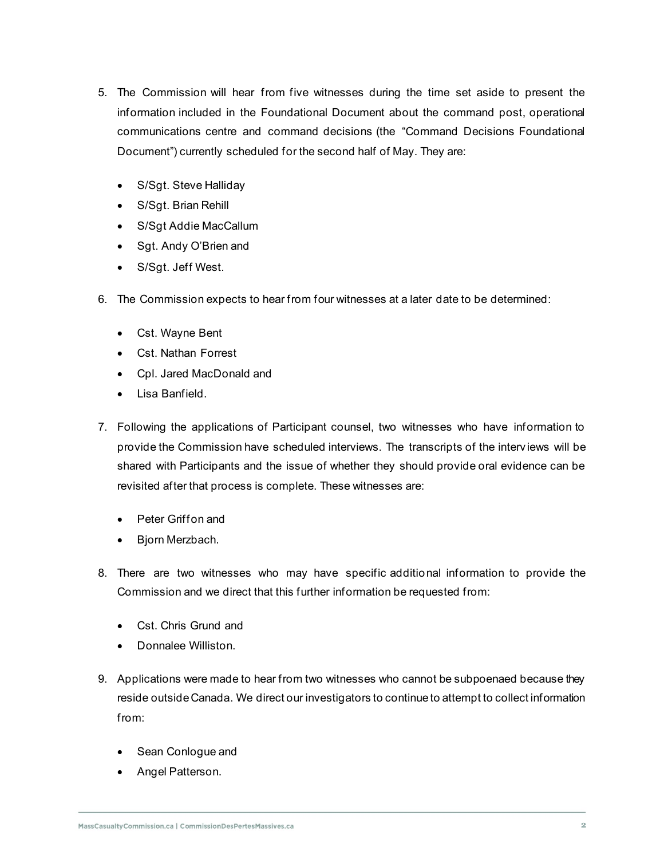- 5. The Commission will hear from five witnesses during the time set aside to present the information included in the Foundational Document about the command post, operational communications centre and command decisions (the "Command Decisions Foundational Document") currently scheduled for the second half of May. They are:
	- S/Sgt. Steve Halliday
	- S/Sgt. Brian Rehill
	- S/Sgt Addie MacCallum
	- Sgt. Andy O'Brien and
	- S/Sgt. Jeff West.
- 6. The Commission expects to hear from four witnesses at a later date to be determined:
	- Cst. Wayne Bent
	- Cst. Nathan Forrest
	- Cpl. Jared MacDonald and
	- Lisa Banfield.
- 7. Following the applications of Participant counsel, two witnesses who have information to provide the Commission have scheduled interviews. The transcripts of the interv iews will be shared with Participants and the issue of whether they should provide oral evidence can be revisited after that process is complete. These witnesses are:
	- Peter Griffon and
	- Bjorn Merzbach.
- 8. There are two witnesses who may have specific additional information to provide the Commission and we direct that this further information be requested from:
	- Cst. Chris Grund and
	- Donnalee Williston.
- 9. Applications were made to hear from two witnesses who cannot be subpoenaed because they reside outside Canada. We direct our investigators to continue to attempt to collect information from:
	- Sean Conlogue and
	- Angel Patterson.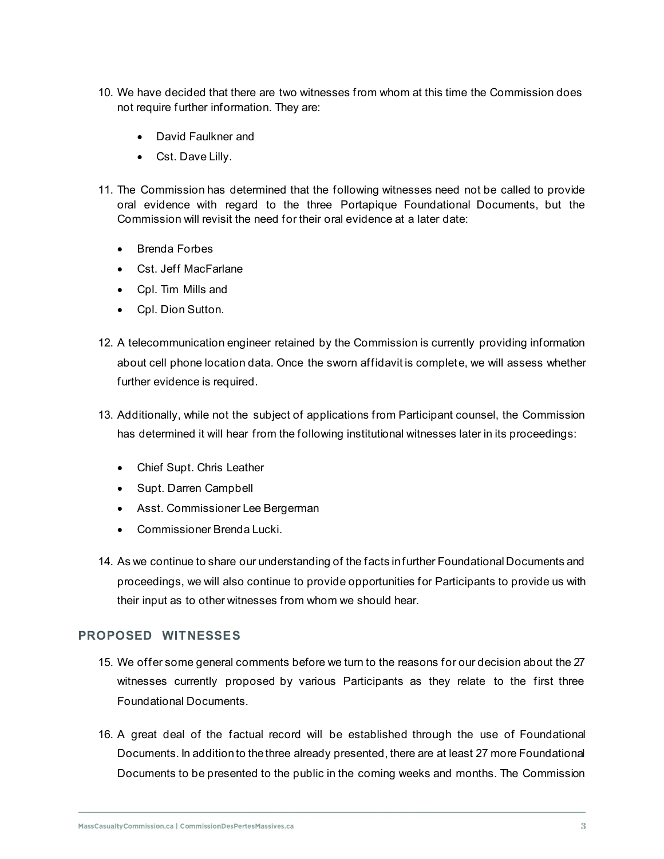- 10. We have decided that there are two witnesses from whom at this time the Commission does not require further information. They are:
	- David Faulkner and
	- Cst. Dave Lilly.
- 11. The Commission has determined that the following witnesses need not be called to provide oral evidence with regard to the three Portapique Foundational Documents, but the Commission will revisit the need for their oral evidence at a later date:
	- Brenda Forbes
	- Cst. Jeff MacFarlane
	- Cpl. Tim Mills and
	- Cpl. Dion Sutton.
- 12. A telecommunication engineer retained by the Commission is currently providing information about cell phone location data. Once the sworn affidavit is complete, we will assess whether further evidence is required.
- 13. Additionally, while not the subject of applications from Participant counsel, the Commission has determined it will hear from the following institutional witnesses later in its proceedings:
	- Chief Supt. Chris Leather
	- Supt. Darren Campbell
	- Asst. Commissioner Lee Bergerman
	- Commissioner Brenda Lucki.
- 14. As we continue to share our understanding of the facts in further Foundational Documents and proceedings, we will also continue to provide opportunities for Participants to provide us with their input as to other witnesses from whom we should hear.

# **PROPOSED WITNESSES**

- 15. We offer some general comments before we turn to the reasons for our decision about the 27 witnesses currently proposed by various Participants as they relate to the first three Foundational Documents.
- 16. A great deal of the factual record will be established through the use of Foundational Documents. In addition to the three already presented, there are at least 27 more Foundational Documents to be presented to the public in the coming weeks and months. The Commission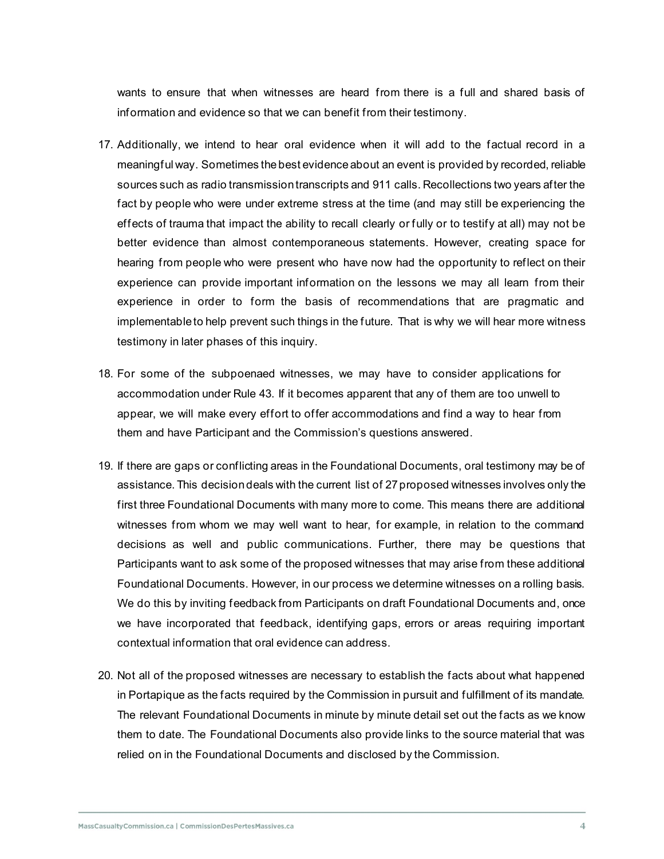wants to ensure that when witnesses are heard from there is a full and shared basis of information and evidence so that we can benefit from their testimony.

- 17. Additionally, we intend to hear oral evidence when it will add to the factual record in a meaningful way. Sometimes the best evidence about an event is provided by recorded, reliable sources such as radio transmission transcripts and 911 calls. Recollections two years after the fact by people who were under extreme stress at the time (and may still be experiencing the effects of trauma that impact the ability to recall clearly or fully or to testify at all) may not be better evidence than almost contemporaneous statements. However, creating space for hearing from people who were present who have now had the opportunity to reflect on their experience can provide important information on the lessons we may all learn from their experience in order to form the basis of recommendations that are pragmatic and implementable to help prevent such things in the future. That is why we will hear more witness testimony in later phases of this inquiry.
- 18. For some of the subpoenaed witnesses, we may have to consider applications for accommodation under Rule 43. If it becomes apparent that any of them are too unwell to appear, we will make every effort to offer accommodations and find a way to hear from them and have Participant and the Commission's questions answered.
- 19. If there are gaps or conflicting areas in the Foundational Documents, oral testimony may be of assistance. This decision deals with the current list of 27 proposed witnesses involves only the first three Foundational Documents with many more to come. This means there are additional witnesses from whom we may well want to hear, for example, in relation to the command decisions as well and public communications. Further, there may be questions that Participants want to ask some of the proposed witnesses that may arise from these additional Foundational Documents. However, in our process we determine witnesses on a rolling basis. We do this by inviting feedback from Participants on draft Foundational Documents and, once we have incorporated that feedback, identifying gaps, errors or areas requiring important contextual information that oral evidence can address.
- 20. Not all of the proposed witnesses are necessary to establish the facts about what happened in Portapique as the facts required by the Commission in pursuit and fulfillment of its mandate. The relevant Foundational Documents in minute by minute detail set out the facts as we know them to date. The Foundational Documents also provide links to the source material that was relied on in the Foundational Documents and disclosed by the Commission.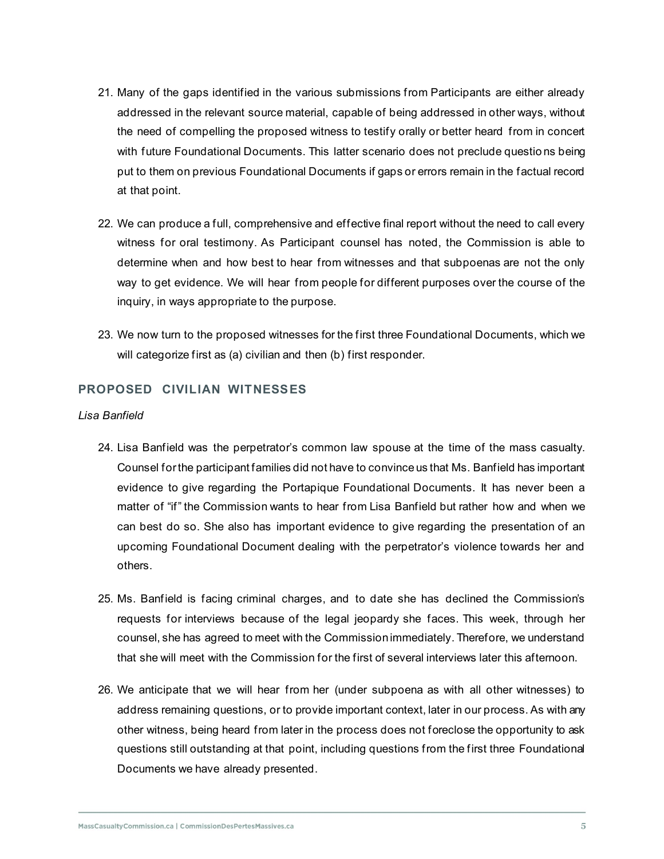- 21. Many of the gaps identified in the various submissions from Participants are either already addressed in the relevant source material, capable of being addressed in other ways, without the need of compelling the proposed witness to testify orally or better heard from in concert with future Foundational Documents. This latter scenario does not preclude questio ns being put to them on previous Foundational Documents if gaps or errors remain in the factual record at that point.
- 22. We can produce a full, comprehensive and effective final report without the need to call every witness for oral testimony. As Participant counsel has noted, the Commission is able to determine when and how best to hear from witnesses and that subpoenas are not the only way to get evidence. We will hear from people for different purposes over the course of the inquiry, in ways appropriate to the purpose.
- 23. We now turn to the proposed witnesses for the first three Foundational Documents, which we will categorize first as (a) civilian and then (b) first responder.

# **PROPOSED CIVILIAN WITNESSES**

#### *Lisa Banfield*

- 24. Lisa Banfield was the perpetrator's common law spouse at the time of the mass casualty. Counsel for the participant families did not have to convince us that Ms. Banfield has important evidence to give regarding the Portapique Foundational Documents. It has never been a matter of "if" the Commission wants to hear from Lisa Banfield but rather how and when we can best do so. She also has important evidence to give regarding the presentation of an upcoming Foundational Document dealing with the perpetrator's violence towards her and others.
- 25. Ms. Banfield is facing criminal charges, and to date she has declined the Commission's requests for interviews because of the legal jeopardy she faces. This week, through her counsel, she has agreed to meet with the Commission immediately. Therefore, we understand that she will meet with the Commission for the first of several interviews later this afternoon.
- 26. We anticipate that we will hear from her (under subpoena as with all other witnesses) to address remaining questions, or to provide important context, later in our process. As with any other witness, being heard from later in the process does not foreclose the opportunity to ask questions still outstanding at that point, including questions from the first three Foundational Documents we have already presented.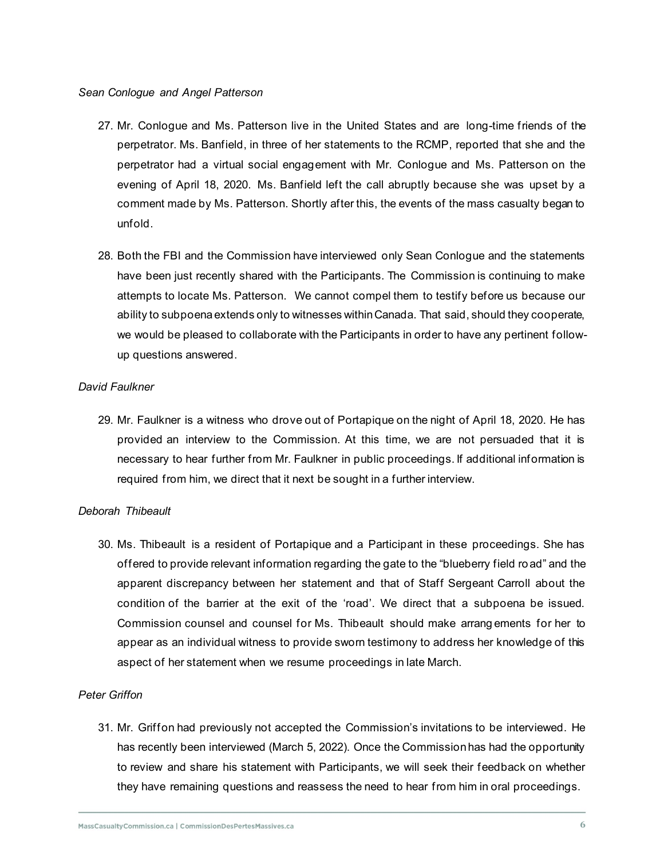## *Sean Conlogue and Angel Patterson*

- 27. Mr. Conlogue and Ms. Patterson live in the United States and are long-time friends of the perpetrator. Ms. Banfield, in three of her statements to the RCMP, reported that she and the perpetrator had a virtual social engagement with Mr. Conlogue and Ms. Patterson on the evening of April 18, 2020. Ms. Banfield left the call abruptly because she was upset by a comment made by Ms. Patterson. Shortly after this, the events of the mass casualty began to unfold.
- 28. Both the FBI and the Commission have interviewed only Sean Conlogue and the statements have been just recently shared with the Participants. The Commission is continuing to make attempts to locate Ms. Patterson. We cannot compel them to testify before us because our ability to subpoena extends only to witnesses within Canada. That said, should they cooperate, we would be pleased to collaborate with the Participants in order to have any pertinent followup questions answered.

## *David Faulkner*

29. Mr. Faulkner is a witness who drove out of Portapique on the night of April 18, 2020. He has provided an interview to the Commission. At this time, we are not persuaded that it is necessary to hear further from Mr. Faulkner in public proceedings. If additional information is required from him, we direct that it next be sought in a further interview.

# *Deborah Thibeault*

30. Ms. Thibeault is a resident of Portapique and a Participant in these proceedings. She has offered to provide relevant information regarding the gate to the "blueberry field ro ad" and the apparent discrepancy between her statement and that of Staff Sergeant Carroll about the condition of the barrier at the exit of the 'road'. We direct that a subpoena be issued. Commission counsel and counsel for Ms. Thibeault should make arrang ements for her to appear as an individual witness to provide sworn testimony to address her knowledge of this aspect of her statement when we resume proceedings in late March.

# *Peter Griffon*

31. Mr. Griffon had previously not accepted the Commission's invitations to be interviewed. He has recently been interviewed (March 5, 2022). Once the Commission has had the opportunity to review and share his statement with Participants, we will seek their feedback on whether they have remaining questions and reassess the need to hear from him in oral proceedings.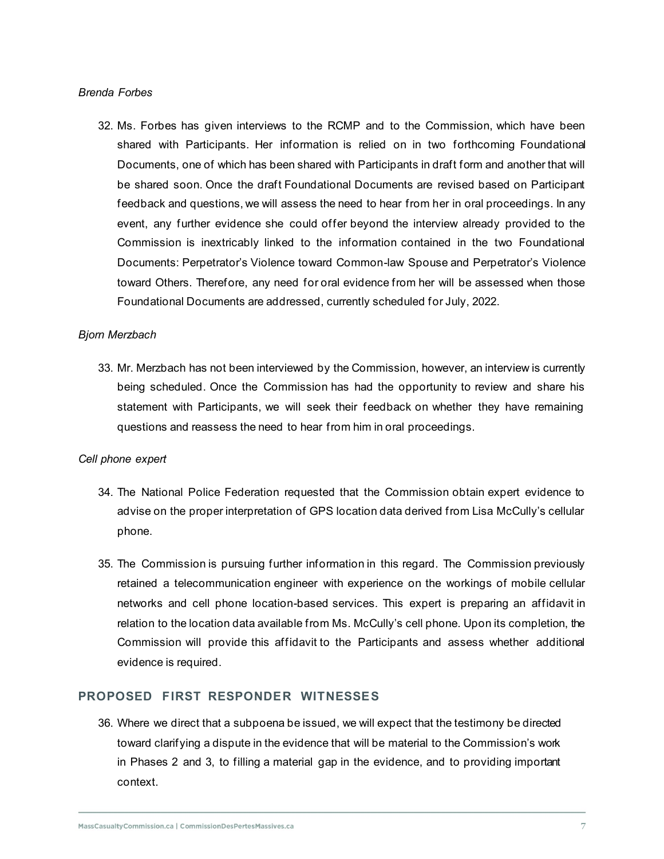## *Brenda Forbes*

32. Ms. Forbes has given interviews to the RCMP and to the Commission, which have been shared with Participants. Her information is relied on in two forthcoming Foundational Documents, one of which has been shared with Participants in draft form and another that will be shared soon. Once the draft Foundational Documents are revised based on Participant feedback and questions, we will assess the need to hear from her in oral proceedings. In any event, any further evidence she could offer beyond the interview already provided to the Commission is inextricably linked to the information contained in the two Foundational Documents: Perpetrator's Violence toward Common-law Spouse and Perpetrator's Violence toward Others. Therefore, any need for oral evidence from her will be assessed when those Foundational Documents are addressed, currently scheduled for July, 2022.

## *Bjorn Merzbach*

33. Mr. Merzbach has not been interviewed by the Commission, however, an interview is currently being scheduled. Once the Commission has had the opportunity to review and share his statement with Participants, we will seek their feedback on whether they have remaining questions and reassess the need to hear from him in oral proceedings.

#### *Cell phone expert*

- 34. The National Police Federation requested that the Commission obtain expert evidence to advise on the proper interpretation of GPS location data derived from Lisa McCully's cellular phone.
- 35. The Commission is pursuing further information in this regard. The Commission previously retained a telecommunication engineer with experience on the workings of mobile cellular networks and cell phone location-based services. This expert is preparing an affidavit in relation to the location data available from Ms. McCully's cell phone. Upon its completion, the Commission will provide this affidavit to the Participants and assess whether additional evidence is required.

# **PROPOSED FIRST RESPONDER WITNESSES**

36. Where we direct that a subpoena be issued, we will expect that the testimony be directed toward clarifying a dispute in the evidence that will be material to the Commission's work in Phases 2 and 3, to filling a material gap in the evidence, and to providing important context.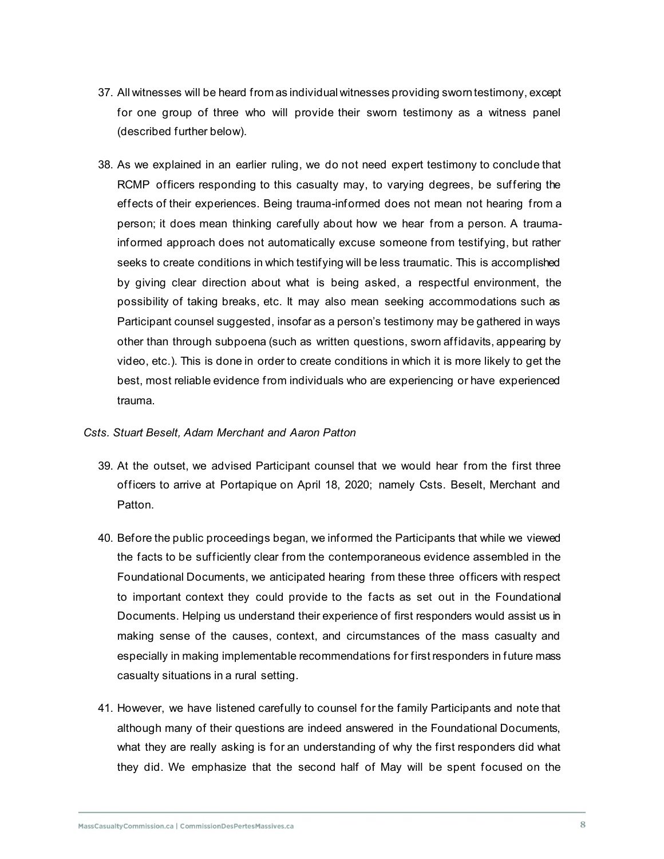- 37. All witnesses will be heard from as individual witnesses providing sworn testimony, except for one group of three who will provide their sworn testimony as a witness panel (described further below).
- 38. As we explained in an earlier ruling, we do not need expert testimony to conclude that RCMP officers responding to this casualty may, to varying degrees, be suffering the effects of their experiences. Being trauma-informed does not mean not hearing from a person; it does mean thinking carefully about how we hear from a person. A traumainformed approach does not automatically excuse someone from testifying, but rather seeks to create conditions in which testifying will be less traumatic. This is accomplished by giving clear direction about what is being asked, a respectful environment, the possibility of taking breaks, etc. It may also mean seeking accommodations such as Participant counsel suggested, insofar as a person's testimony may be gathered in ways other than through subpoena (such as written questions, sworn affidavits, appearing by video, etc.). This is done in order to create conditions in which it is more likely to get the best, most reliable evidence from individuals who are experiencing or have experienced trauma.

#### *Csts. Stuart Beselt, Adam Merchant and Aaron Patton*

- 39. At the outset, we advised Participant counsel that we would hear from the first three officers to arrive at Portapique on April 18, 2020; namely Csts. Beselt, Merchant and Patton.
- 40. Before the public proceedings began, we informed the Participants that while we viewed the facts to be sufficiently clear from the contemporaneous evidence assembled in the Foundational Documents, we anticipated hearing from these three officers with respect to important context they could provide to the facts as set out in the Foundational Documents. Helping us understand their experience of first responders would assist us in making sense of the causes, context, and circumstances of the mass casualty and especially in making implementable recommendations for first responders in future mass casualty situations in a rural setting.
- 41. However, we have listened carefully to counsel for the family Participants and note that although many of their questions are indeed answered in the Foundational Documents, what they are really asking is for an understanding of why the first responders did what they did. We emphasize that the second half of May will be spent focused on the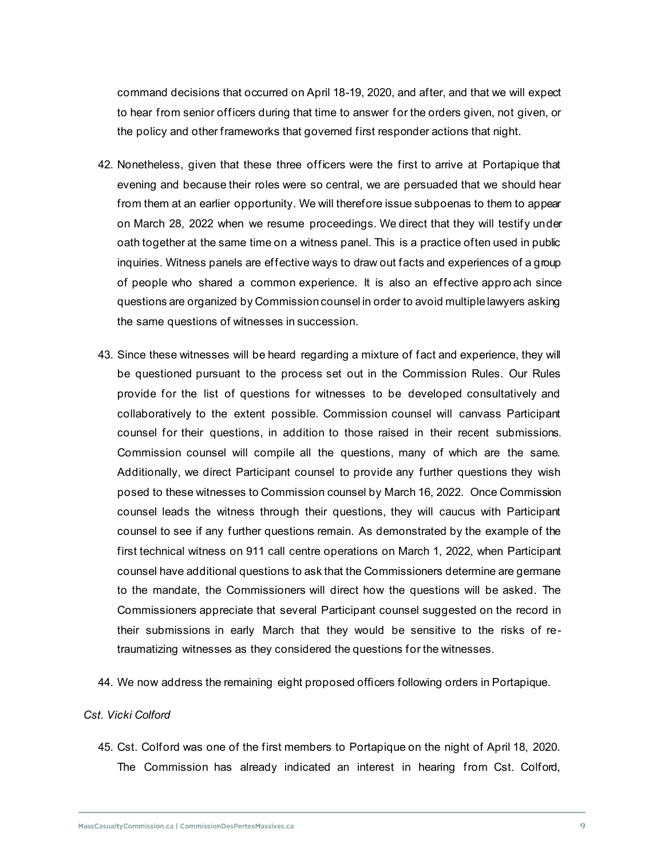command decisions that occurred on April 18-19, 2020, and after, and that we will expect to hear from senior officers during that time to answer for the orders given, not given, or the policy and other frameworks that governed first responder actions that night.

- 42. Nonetheless, given that these three officers were the first to arrive at Portapique that evening and because their roles were so central, we are persuaded that we should hear from them at an earlier opportunity. We will therefore issue subpoenas to them to appear on March 28, 2022 when we resume proceedings. We direct that they will testify under oath together at the same time on a witness panel. This is a practice often used in public inquiries. Witness panels are effective ways to draw out facts and experiences of a group of people who shared a common experience. It is also an effective appro ach since questions are organized by Commission counsel in order to avoid multiple lawyers asking the same questions of witnesses in succession.
- 43. Since these witnesses will be heard regarding a mixture of fact and experience, they will be questioned pursuant to the process set out in the Commission Rules. Our Rules provide for the list of questions for witnesses to be developed consultatively and collaboratively to the extent possible. Commission counsel will canvass Participant counsel for their questions, in addition to those raised in their recent submissions. Commission counsel will compile all the questions, many of which are the same. Additionally, we direct Participant counsel to provide any further questions they wish posed to these witnesses to Commission counsel by March 16, 2022. Once Commission counsel leads the witness through their questions, they will caucus with Participant counsel to see if any further questions remain. As demonstrated by the example of the first technical witness on 911 call centre operations on March 1, 2022, when Participant counsel have additional questions to ask that the Commissioners determine are germane to the mandate, the Commissioners will direct how the questions will be asked. The Commissioners appreciate that several Participant counsel suggested on the record in their submissions in early March that they would be sensitive to the risks of retraumatizing witnesses as they considered the questions for the witnesses.
- 44. We now address the remaining eight proposed officers following orders in Portapique.

# *Cst. Vicki Colford*

45. Cst. Colford was one of the first members to Portapique on the night of April 18, 2020. The Commission has already indicated an interest in hearing from Cst. Colford,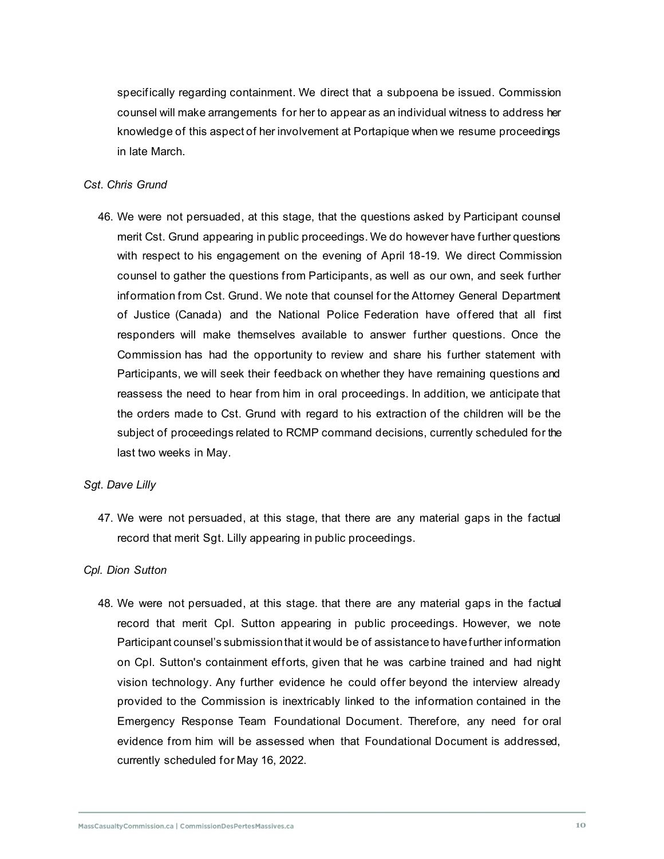specifically regarding containment. We direct that a subpoena be issued. Commission counsel will make arrangements for her to appear as an individual witness to address her knowledge of this aspect of her involvement at Portapique when we resume proceedings in late March.

# *Cst. Chris Grund*

46. We were not persuaded, at this stage, that the questions asked by Participant counsel merit Cst. Grund appearing in public proceedings. We do however have further questions with respect to his engagement on the evening of April 18-19. We direct Commission counsel to gather the questions from Participants, as well as our own, and seek further information from Cst. Grund. We note that counsel for the Attorney General Department of Justice (Canada) and the National Police Federation have offered that all first responders will make themselves available to answer further questions. Once the Commission has had the opportunity to review and share his further statement with Participants, we will seek their feedback on whether they have remaining questions and reassess the need to hear from him in oral proceedings. In addition, we anticipate that the orders made to Cst. Grund with regard to his extraction of the children will be the subject of proceedings related to RCMP command decisions, currently scheduled for the last two weeks in May.

#### *Sgt. Dave Lilly*

47. We were not persuaded, at this stage, that there are any material gaps in the factual record that merit Sgt. Lilly appearing in public proceedings.

# *Cpl. Dion Sutton*

48. We were not persuaded, at this stage. that there are any material gaps in the factual record that merit Cpl. Sutton appearing in public proceedings. However, we note Participant counsel's submission that it would be of assistance to have further information on Cpl. Sutton's containment efforts, given that he was carbine trained and had night vision technology. Any further evidence he could offer beyond the interview already provided to the Commission is inextricably linked to the information contained in the Emergency Response Team Foundational Document. Therefore, any need for oral evidence from him will be assessed when that Foundational Document is addressed, currently scheduled for May 16, 2022.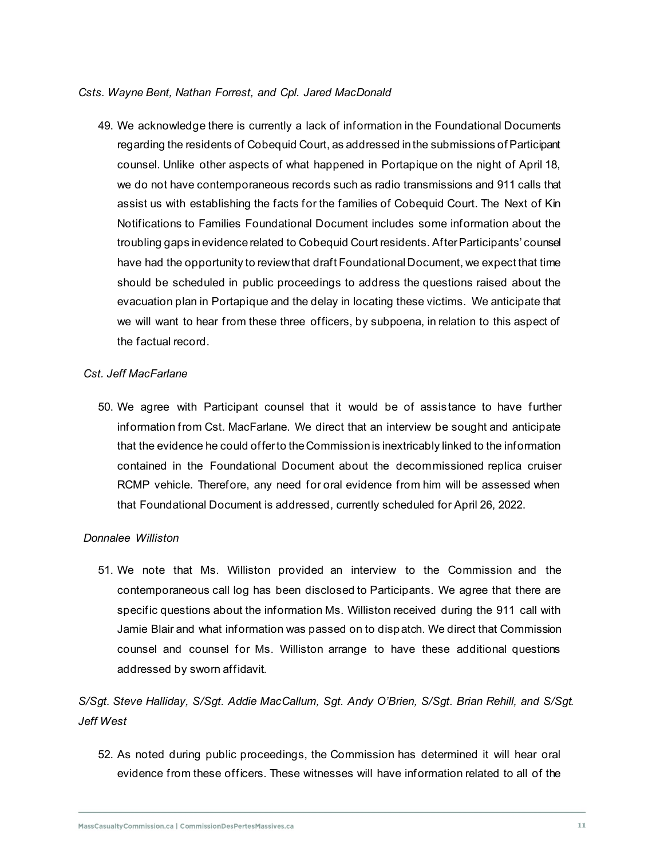## *Csts. Wayne Bent, Nathan Forrest, and Cpl. Jared MacDonald*

49. We acknowledge there is currently a lack of information in the Foundational Documents regarding the residents of Cobequid Court, as addressed in the submissions of Participant counsel. Unlike other aspects of what happened in Portapique on the night of April 18, we do not have contemporaneous records such as radio transmissions and 911 calls that assist us with establishing the facts for the families of Cobequid Court. The Next of Kin Notifications to Families Foundational Document includes some information about the troubling gaps in evidence related to Cobequid Court residents. After Participants' counsel have had the opportunity to review that draft Foundational Document, we expect that time should be scheduled in public proceedings to address the questions raised about the evacuation plan in Portapique and the delay in locating these victims. We anticipate that we will want to hear from these three officers, by subpoena, in relation to this aspect of the factual record.

## *Cst. Jeff MacFarlane*

50. We agree with Participant counsel that it would be of assistance to have further information from Cst. MacFarlane. We direct that an interview be sought and anticipate that the evidence he could offer to the Commission is inextricably linked to the information contained in the Foundational Document about the decommissioned replica cruiser RCMP vehicle. Therefore, any need for oral evidence from him will be assessed when that Foundational Document is addressed, currently scheduled for April 26, 2022.

#### *Donnalee Williston*

51. We note that Ms. Williston provided an interview to the Commission and the contemporaneous call log has been disclosed to Participants. We agree that there are specific questions about the information Ms. Williston received during the 911 call with Jamie Blair and what information was passed on to dispatch. We direct that Commission counsel and counsel for Ms. Williston arrange to have these additional questions addressed by sworn affidavit.

*S/Sgt. Steve Halliday, S/Sgt. Addie MacCallum, Sgt. Andy O'Brien, S/Sgt. Brian Rehill, and S/Sgt. Jeff West*

52. As noted during public proceedings, the Commission has determined it will hear oral evidence from these officers. These witnesses will have information related to all of the